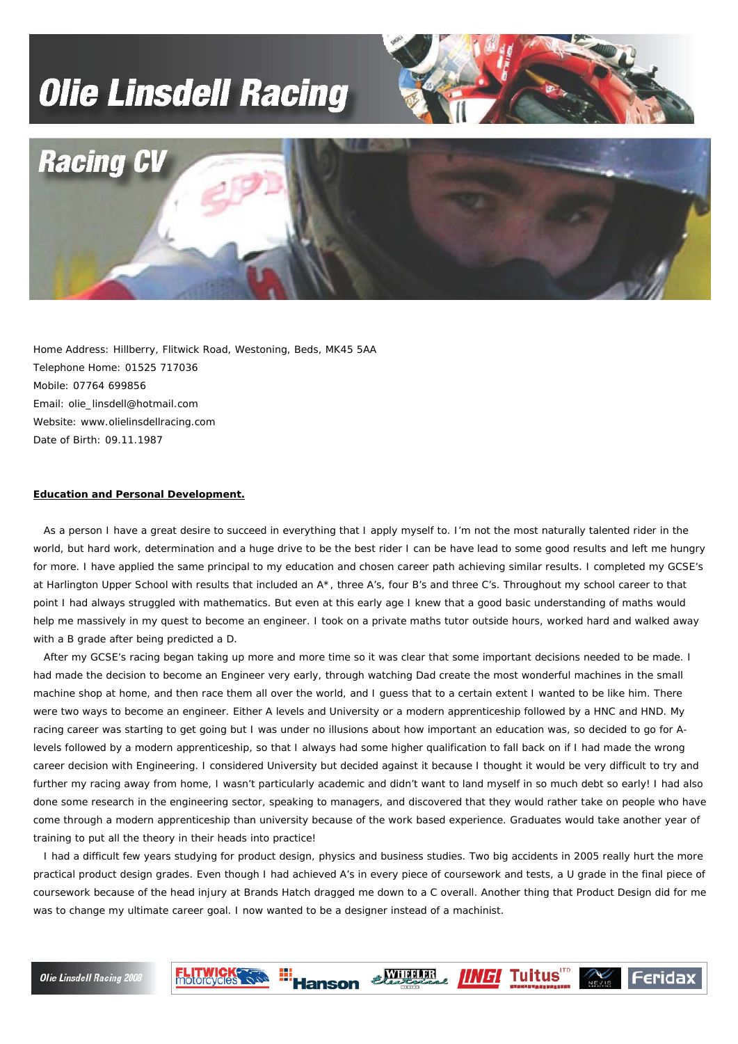## **Olie Linsdell Racing**





Home Address: Hillberry, Flitwick Road, Westoning, Beds, MK45 5AA Telephone Home: 01525 717036 Mobile: 07764 699856 Email: olie\_linsdell@hotmail.com Website: www.olielinsdellracing.com Date of Birth: 09.11.1987

**FLITWICKS** 

## **Education and Personal Development.**

 As a person I have a great desire to succeed in everything that I apply myself to. I'm not the most naturally talented rider in the world, but hard work, determination and a huge drive to be the best rider I can be have lead to some good results and left me hungry for more. I have applied the same principal to my education and chosen career path achieving similar results. I completed my GCSE's at Harlington Upper School with results that included an A\*, three A's, four B's and three C's. Throughout my school career to that point I had always struggled with mathematics. But even at this early age I knew that a good basic understanding of maths would help me massively in my quest to become an engineer. I took on a private maths tutor outside hours, worked hard and walked away with a B grade after being predicted a D.

 After my GCSE's racing began taking up more and more time so it was clear that some important decisions needed to be made. I had made the decision to become an Engineer very early, through watching Dad create the most wonderful machines in the small machine shop at home, and then race them all over the world, and I guess that to a certain extent I wanted to be like him. There were two ways to become an engineer. Either A levels and University or a modern apprenticeship followed by a HNC and HND. My racing career was starting to get going but I was under no illusions about how important an education was, so decided to go for Alevels followed by a modern apprenticeship, so that I always had some higher qualification to fall back on if I had made the wrong career decision with Engineering. I considered University but decided against it because I thought it would be very difficult to try and further my racing away from home, I wasn't particularly academic and didn't want to land myself in so much debt so early! I had also done some research in the engineering sector, speaking to managers, and discovered that they would rather take on people who have come through a modern apprenticeship than university because of the work based experience. Graduates would take another year of training to put all the theory in their heads into practice!

 I had a difficult few years studying for product design, physics and business studies. Two big accidents in 2005 really hurt the more practical product design grades. Even though I had achieved A's in every piece of coursework and tests, a U grade in the final piece of coursework because of the head injury at Brands Hatch dragged me down to a C overall. Another thing that Product Design did for me was to change my ultimate career goal. I now wanted to be a designer instead of a machinist.

**Hanson** 

**SALIDERER** 

**IINGI Tuitus** 

Feridax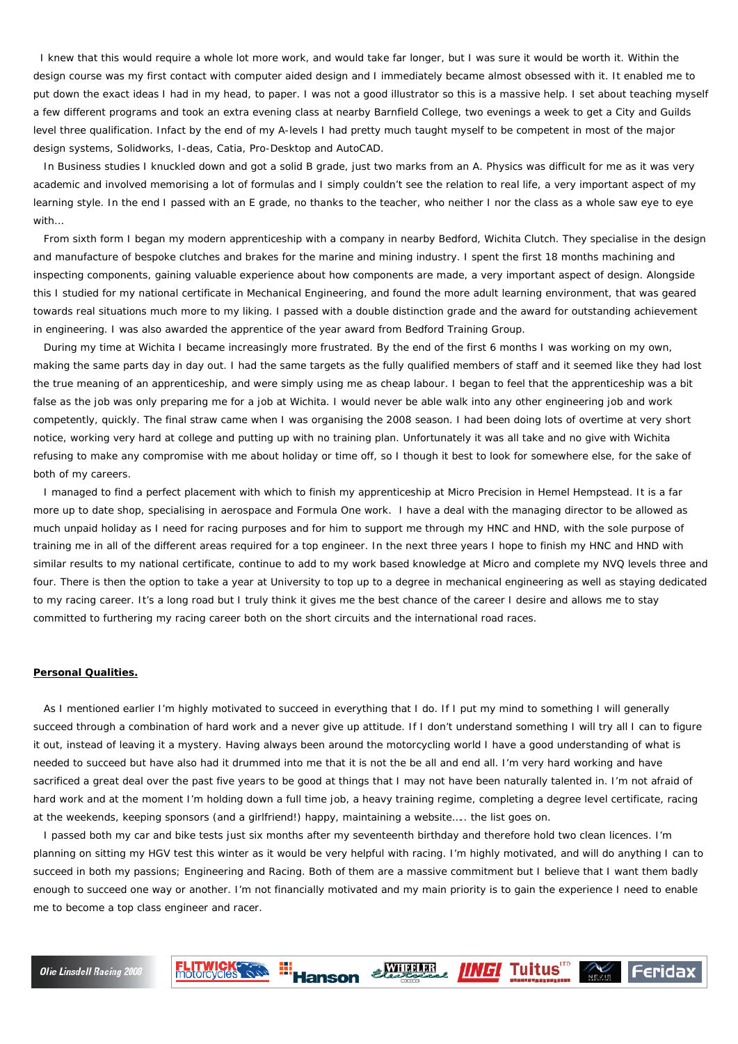I knew that this would require a whole lot more work, and would take far longer, but I was sure it would be worth it. Within the design course was my first contact with computer aided design and I immediately became almost obsessed with it. It enabled me to put down the exact ideas I had in my head, to paper. I was not a good illustrator so this is a massive help. I set about teaching myself a few different programs and took an extra evening class at nearby Barnfield College, two evenings a week to get a City and Guilds level three qualification. Infact by the end of my A-levels I had pretty much taught myself to be competent in most of the major design systems, Solidworks, I-deas, Catia, Pro-Desktop and AutoCAD.

 In Business studies I knuckled down and got a solid B grade, just two marks from an A. Physics was difficult for me as it was very academic and involved memorising a lot of formulas and I simply couldn't see the relation to real life, a very important aspect of my learning style. In the end I passed with an E grade, no thanks to the teacher, who neither I nor the class as a whole saw eye to eye with…

 From sixth form I began my modern apprenticeship with a company in nearby Bedford, Wichita Clutch. They specialise in the design and manufacture of bespoke clutches and brakes for the marine and mining industry. I spent the first 18 months machining and inspecting components, gaining valuable experience about how components are made, a very important aspect of design. Alongside this I studied for my national certificate in Mechanical Engineering, and found the more adult learning environment, that was geared towards real situations much more to my liking. I passed with a double distinction grade and the award for outstanding achievement in engineering. I was also awarded the apprentice of the year award from Bedford Training Group.

 During my time at Wichita I became increasingly more frustrated. By the end of the first 6 months I was working on my own, making the same parts day in day out. I had the same targets as the fully qualified members of staff and it seemed like they had lost the true meaning of an apprenticeship, and were simply using me as cheap labour. I began to feel that the apprenticeship was a bit false as the job was only preparing me for a job at Wichita. I would never be able walk into any other engineering job and work competently, quickly. The final straw came when I was organising the 2008 season. I had been doing lots of overtime at very short notice, working very hard at college and putting up with no training plan. Unfortunately it was all take and no give with Wichita refusing to make any compromise with me about holiday or time off, so I though it best to look for somewhere else, for the sake of both of my careers.

 I managed to find a perfect placement with which to finish my apprenticeship at Micro Precision in Hemel Hempstead. It is a far more up to date shop, specialising in aerospace and Formula One work. I have a deal with the managing director to be allowed as much unpaid holiday as I need for racing purposes and for him to support me through my HNC and HND, with the sole purpose of training me in all of the different areas required for a top engineer. In the next three years I hope to finish my HNC and HND with similar results to my national certificate, continue to add to my work based knowledge at Micro and complete my NVQ levels three and four. There is then the option to take a year at University to top up to a degree in mechanical engineering as well as staying dedicated to my racing career. It's a long road but I truly think it gives me the best chance of the career I desire and allows me to stay committed to furthering my racing career both on the short circuits and the international road races.

## **Personal Qualities.**

 As I mentioned earlier I'm highly motivated to succeed in everything that I do. If I put my mind to something I will generally succeed through a combination of hard work and a never give up attitude. If I don't understand something I will try all I can to figure it out, instead of leaving it a mystery. Having always been around the motorcycling world I have a good understanding of what is needed to succeed but have also had it drummed into me that it is not the be all and end all. I'm very hard working and have sacrificed a great deal over the past five years to be good at things that I may not have been naturally talented in. I'm not afraid of hard work and at the moment I'm holding down a full time job, a heavy training regime, completing a degree level certificate, racing at the weekends, keeping sponsors (and a girlfriend!) happy, maintaining a website….. the list goes on.

 I passed both my car and bike tests just six months after my seventeenth birthday and therefore hold two clean licences. I'm planning on sitting my HGV test this winter as it would be very helpful with racing. I'm highly motivated, and will do anything I can to succeed in both my passions; Engineering and Racing. Both of them are a massive commitment but I believe that I want them badly enough to succeed one way or another. I'm not financially motivated and my main priority is to gain the experience I need to enable me to become a top class engineer and racer.

**SALIDERER** 

**IINGI** Tuitus

Feridax

**Hansor** 

**FLITWICK®**